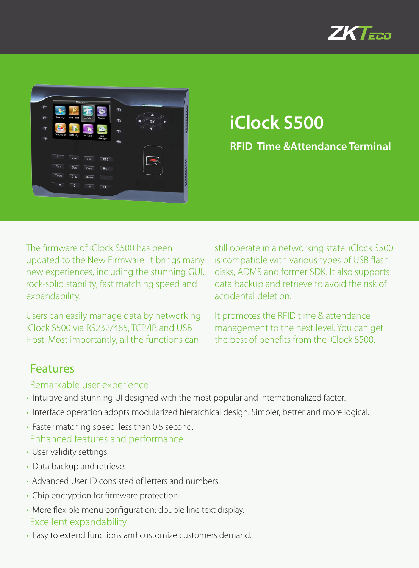



# **iClock S500**

**RFID Time &Attendance Terminal**

The firmware of iClock S500 has been updated to the New Firmware. It brings many new experiences, including the stunning GUI, rock-solid stability, fast matching speed and expandability.

Users can easily manage data by networking iClock S500 via RS232/485, TCP/IP, and USB Host. Most importantly, all the functions can

still operate in a networking state. iClock S500 is compatible with various types of USB flash disks, ADMS and former SDK. It also supports data backup and retrieve to avoid the risk of accidental deletion.

It promotes the RFID time & attendance management to the next level. You can get the best of benefits from the iClock S500.

### Features

#### Remarkable user experience

- Intuitive and stunning UI designed with the most popular and internationalized factor.
- Interface operation adopts modularized hierarchical design. Simpler, better and more logical.
- Faster matching speed: less than 0.5 second. Enhanced features and performance
- User validity settings.
- Data backup and retrieve.
- Advanced User ID consisted of letters and numbers.
- Chip encryption for firmware protection.
- More flexible menu configuration: double line text display. Excellent expandability
- Easy to extend functions and customize customers demand.